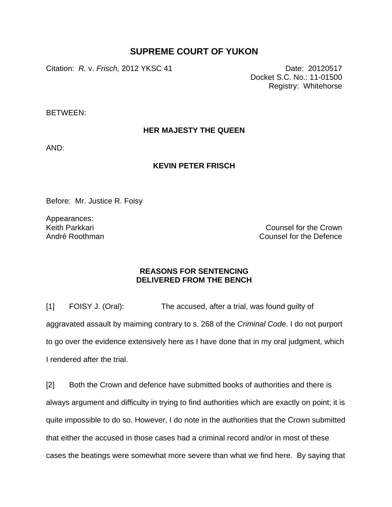# **SUPREME COURT OF YUKON**

Citation: *R. v. Frisch,* 2012 YKSC 41 Date: 20120517

Docket S.C. No.: 11-01500 Registry: Whitehorse

BETWEEN:

**HER MAJESTY THE QUEEN** 

AND:

## **KEVIN PETER FRISCH**

Before: Mr. Justice R. Foisy

Appearances: Keith Parkkari André Roothman

Counsel for the Crown Counsel for the Defence

## **REASONS FOR SENTENCING DELIVERED FROM THE BENCH**

[1] FOISY J. (Oral): The accused, after a trial, was found guilty of aggravated assault by maiming contrary to s. 268 of the *Criminal Code*. I do not purport to go over the evidence extensively here as I have done that in my oral judgment, which I rendered after the trial.

[2] Both the Crown and defence have submitted books of authorities and there is always argument and difficulty in trying to find authorities which are exactly on point; it is quite impossible to do so. However, I do note in the authorities that the Crown submitted that either the accused in those cases had a criminal record and/or in most of these cases the beatings were somewhat more severe than what we find here. By saying that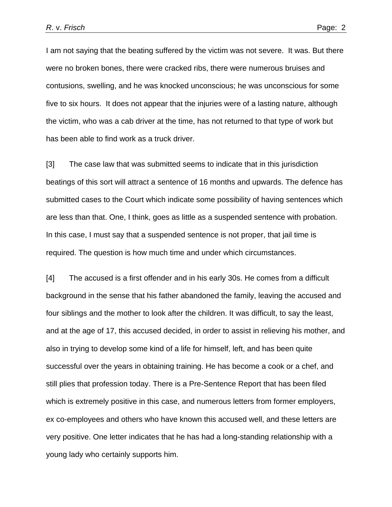I am not saying that the beating suffered by the victim was not severe. It was. But there were no broken bones, there were cracked ribs, there were numerous bruises and contusions, swelling, and he was knocked unconscious; he was unconscious for some five to six hours. It does not appear that the injuries were of a lasting nature, although the victim, who was a cab driver at the time, has not returned to that type of work but has been able to find work as a truck driver.

[3] The case law that was submitted seems to indicate that in this jurisdiction beatings of this sort will attract a sentence of 16 months and upwards. The defence has submitted cases to the Court which indicate some possibility of having sentences which are less than that. One, I think, goes as little as a suspended sentence with probation. In this case, I must say that a suspended sentence is not proper, that jail time is required. The question is how much time and under which circumstances.

[4] The accused is a first offender and in his early 30s. He comes from a difficult background in the sense that his father abandoned the family, leaving the accused and four siblings and the mother to look after the children. It was difficult, to say the least, and at the age of 17, this accused decided, in order to assist in relieving his mother, and also in trying to develop some kind of a life for himself, left, and has been quite successful over the years in obtaining training. He has become a cook or a chef, and still plies that profession today. There is a Pre-Sentence Report that has been filed which is extremely positive in this case, and numerous letters from former employers, ex co-employees and others who have known this accused well, and these letters are very positive. One letter indicates that he has had a long-standing relationship with a young lady who certainly supports him.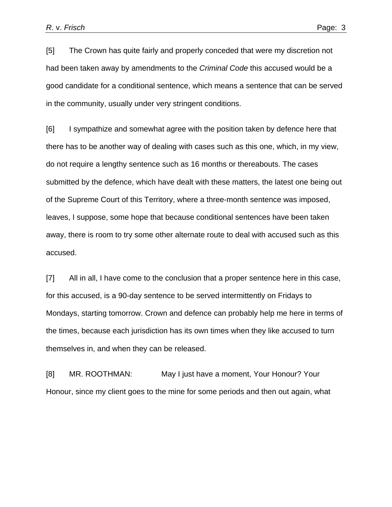[5] The Crown has quite fairly and properly conceded that were my discretion not had been taken away by amendments to the *Criminal Code* this accused would be a good candidate for a conditional sentence, which means a sentence that can be served in the community, usually under very stringent conditions.

[6] I sympathize and somewhat agree with the position taken by defence here that there has to be another way of dealing with cases such as this one, which, in my view, do not require a lengthy sentence such as 16 months or thereabouts. The cases submitted by the defence, which have dealt with these matters, the latest one being out of the Supreme Court of this Territory, where a three-month sentence was imposed, leaves, I suppose, some hope that because conditional sentences have been taken away, there is room to try some other alternate route to deal with accused such as this accused.

[7] All in all, I have come to the conclusion that a proper sentence here in this case, for this accused, is a 90-day sentence to be served intermittently on Fridays to Mondays, starting tomorrow. Crown and defence can probably help me here in terms of the times, because each jurisdiction has its own times when they like accused to turn themselves in, and when they can be released.

[8] MR. ROOTHMAN: May I just have a moment, Your Honour? Your Honour, since my client goes to the mine for some periods and then out again, what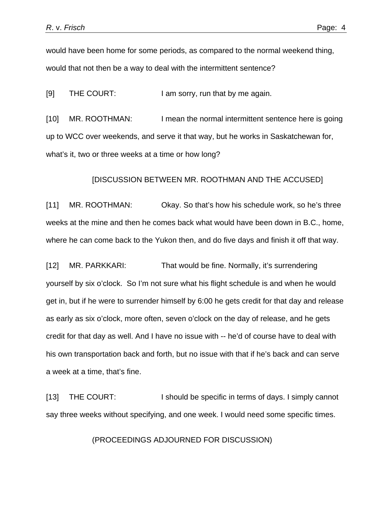would have been home for some periods, as compared to the normal weekend thing, would that not then be a way to deal with the intermittent sentence?

[9] THE COURT: I am sorry, run that by me again.

[10] MR. ROOTHMAN: I mean the normal intermittent sentence here is going up to WCC over weekends, and serve it that way, but he works in Saskatchewan for, what's it, two or three weeks at a time or how long?

#### [DISCUSSION BETWEEN MR. ROOTHMAN AND THE ACCUSED]

[11] MR. ROOTHMAN: Okay. So that's how his schedule work, so he's three weeks at the mine and then he comes back what would have been down in B.C., home, where he can come back to the Yukon then, and do five days and finish it off that way.

[12] MR. PARKKARI: That would be fine. Normally, it's surrendering yourself by six o'clock. So I'm not sure what his flight schedule is and when he would get in, but if he were to surrender himself by 6:00 he gets credit for that day and release as early as six o'clock, more often, seven o'clock on the day of release, and he gets credit for that day as well. And I have no issue with -- he'd of course have to deal with his own transportation back and forth, but no issue with that if he's back and can serve a week at a time, that's fine.

[13] THE COURT: I should be specific in terms of days. I simply cannot say three weeks without specifying, and one week. I would need some specific times.

(PROCEEDINGS ADJOURNED FOR DISCUSSION)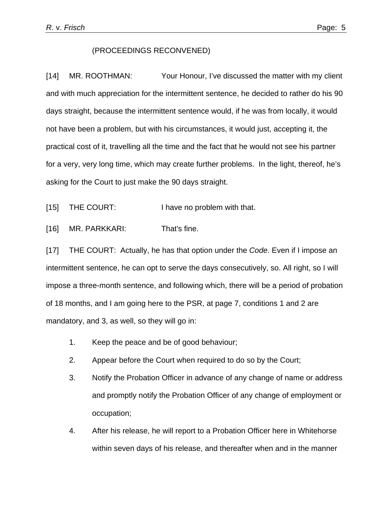#### (PROCEEDINGS RECONVENED)

[14] MR. ROOTHMAN: Your Honour, I've discussed the matter with my client and with much appreciation for the intermittent sentence, he decided to rather do his 90 days straight, because the intermittent sentence would, if he was from locally, it would not have been a problem, but with his circumstances, it would just, accepting it, the practical cost of it, travelling all the time and the fact that he would not see his partner for a very, very long time, which may create further problems. In the light, thereof, he's asking for the Court to just make the 90 days straight.

- [15] THE COURT: I have no problem with that.
- [16] MR. PARKKARI: That's fine.

[17] THE COURT: Actually, he has that option under the *Code*. Even if I impose an intermittent sentence, he can opt to serve the days consecutively, so. All right, so I will impose a three-month sentence, and following which, there will be a period of probation of 18 months, and I am going here to the PSR, at page 7, conditions 1 and 2 are mandatory, and 3, as well, so they will go in:

- 1. Keep the peace and be of good behaviour;
- 2. Appear before the Court when required to do so by the Court;
- 3. Notify the Probation Officer in advance of any change of name or address and promptly notify the Probation Officer of any change of employment or occupation;
- 4. After his release, he will report to a Probation Officer here in Whitehorse within seven days of his release, and thereafter when and in the manner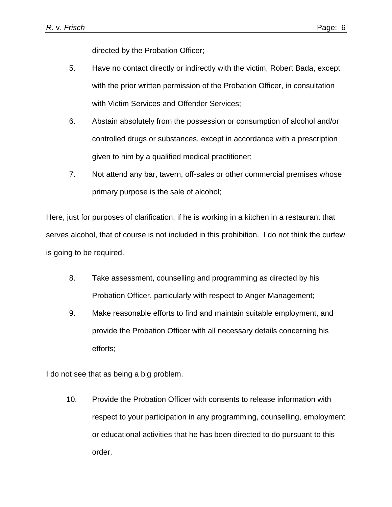directed by the Probation Officer;

- 5. Have no contact directly or indirectly with the victim, Robert Bada, except with the prior written permission of the Probation Officer, in consultation with Victim Services and Offender Services;
- 6. Abstain absolutely from the possession or consumption of alcohol and/or controlled drugs or substances, except in accordance with a prescription given to him by a qualified medical practitioner;
- 7. Not attend any bar, tavern, off-sales or other commercial premises whose primary purpose is the sale of alcohol;

Here, just for purposes of clarification, if he is working in a kitchen in a restaurant that serves alcohol, that of course is not included in this prohibition. I do not think the curfew is going to be required.

- 8. Take assessment, counselling and programming as directed by his Probation Officer, particularly with respect to Anger Management;
- 9. Make reasonable efforts to find and maintain suitable employment, and provide the Probation Officer with all necessary details concerning his efforts;

I do not see that as being a big problem.

10. Provide the Probation Officer with consents to release information with respect to your participation in any programming, counselling, employment or educational activities that he has been directed to do pursuant to this order.